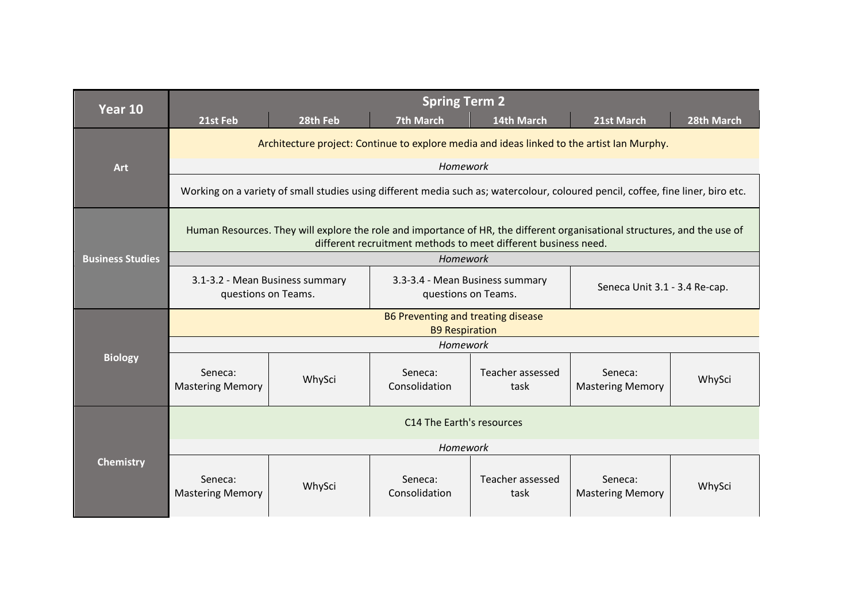| Year 10                 | 21st Feb                                                                                                                                                                                    | 28th Feb | <b>Spring Term 2</b><br><b>7th March</b>               | 14th March               | 21st March                         | 28th March |
|-------------------------|---------------------------------------------------------------------------------------------------------------------------------------------------------------------------------------------|----------|--------------------------------------------------------|--------------------------|------------------------------------|------------|
| Art                     | Architecture project: Continue to explore media and ideas linked to the artist Ian Murphy.                                                                                                  |          |                                                        |                          |                                    |            |
|                         |                                                                                                                                                                                             |          | Homework                                               |                          |                                    |            |
|                         | Working on a variety of small studies using different media such as; watercolour, coloured pencil, coffee, fine liner, biro etc.                                                            |          |                                                        |                          |                                    |            |
|                         | Human Resources. They will explore the role and importance of HR, the different organisational structures, and the use of<br>different recruitment methods to meet different business need. |          |                                                        |                          |                                    |            |
| <b>Business Studies</b> |                                                                                                                                                                                             |          | Homework                                               |                          |                                    |            |
|                         | 3.1-3.2 - Mean Business summary<br>questions on Teams.                                                                                                                                      |          | 3.3-3.4 - Mean Business summary<br>questions on Teams. |                          | Seneca Unit 3.1 - 3.4 Re-cap.      |            |
|                         | B6 Preventing and treating disease<br><b>B9 Respiration</b>                                                                                                                                 |          |                                                        |                          |                                    |            |
|                         | Homework                                                                                                                                                                                    |          |                                                        |                          |                                    |            |
| <b>Biology</b>          | Seneca:<br><b>Mastering Memory</b>                                                                                                                                                          | WhySci   | Seneca:<br>Consolidation                               | Teacher assessed<br>task | Seneca:<br><b>Mastering Memory</b> | WhySci     |
| <b>Chemistry</b>        | C14 The Earth's resources                                                                                                                                                                   |          |                                                        |                          |                                    |            |
|                         | Homework                                                                                                                                                                                    |          |                                                        |                          |                                    |            |
|                         | Seneca:<br><b>Mastering Memory</b>                                                                                                                                                          | WhySci   | Seneca:<br>Consolidation                               | Teacher assessed<br>task | Seneca:<br><b>Mastering Memory</b> | WhySci     |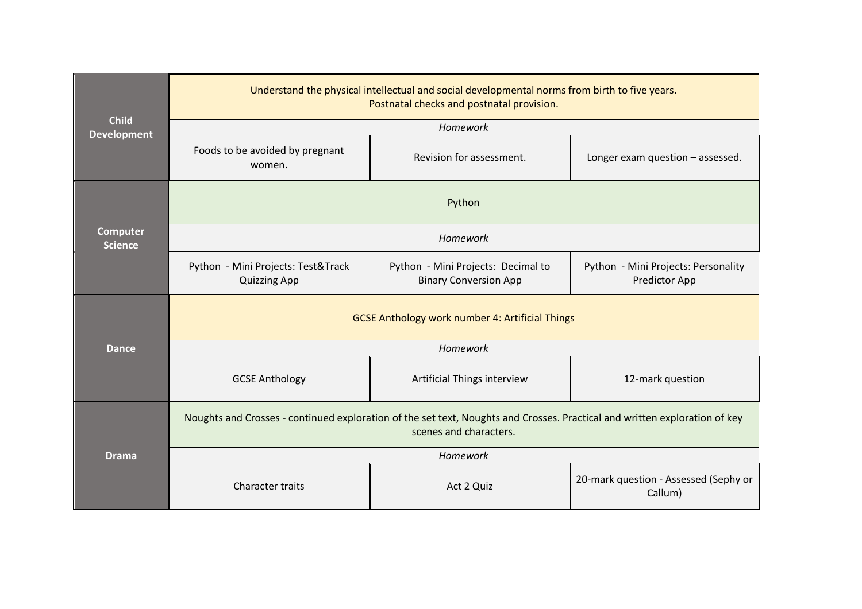| <b>Child</b><br><b>Development</b> | Understand the physical intellectual and social developmental norms from birth to five years.<br>Postnatal checks and postnatal provision.           |                             |                                                             |  |  |  |
|------------------------------------|------------------------------------------------------------------------------------------------------------------------------------------------------|-----------------------------|-------------------------------------------------------------|--|--|--|
|                                    | Homework                                                                                                                                             |                             |                                                             |  |  |  |
|                                    | Foods to be avoided by pregnant<br>women.                                                                                                            | Revision for assessment.    | Longer exam question - assessed.                            |  |  |  |
|                                    |                                                                                                                                                      | Python                      |                                                             |  |  |  |
| <b>Computer</b><br><b>Science</b>  | Homework                                                                                                                                             |                             |                                                             |  |  |  |
|                                    | Python - Mini Projects: Test&Track<br>Python - Mini Projects: Decimal to<br><b>Binary Conversion App</b><br><b>Quizzing App</b>                      |                             | Python - Mini Projects: Personality<br><b>Predictor App</b> |  |  |  |
|                                    | <b>GCSE Anthology work number 4: Artificial Things</b>                                                                                               |                             |                                                             |  |  |  |
| <b>Dance</b>                       | Homework                                                                                                                                             |                             |                                                             |  |  |  |
|                                    | <b>GCSE Anthology</b>                                                                                                                                | Artificial Things interview | 12-mark question                                            |  |  |  |
| <b>Drama</b>                       | Noughts and Crosses - continued exploration of the set text, Noughts and Crosses. Practical and written exploration of key<br>scenes and characters. |                             |                                                             |  |  |  |
|                                    | Homework                                                                                                                                             |                             |                                                             |  |  |  |
|                                    | <b>Character traits</b>                                                                                                                              | Act 2 Quiz                  | 20-mark question - Assessed (Sephy or<br>Callum)            |  |  |  |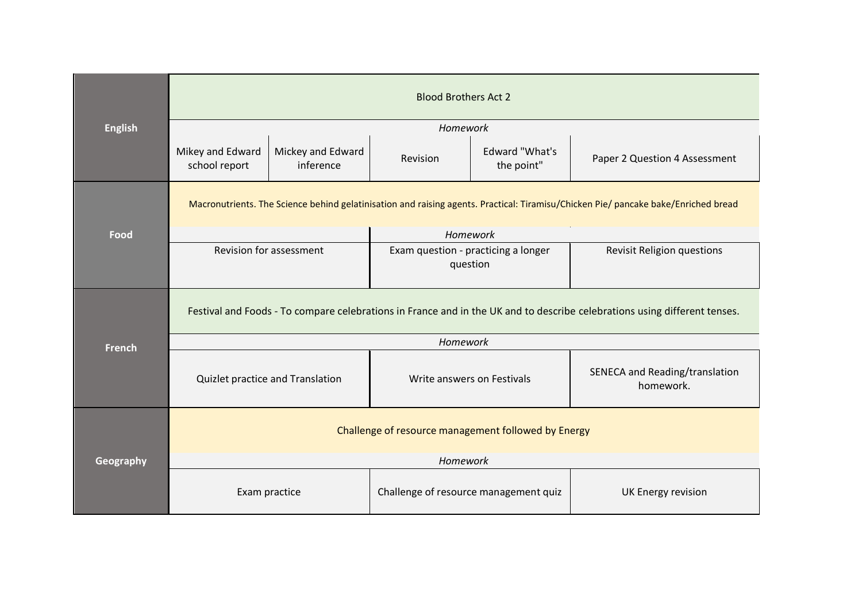| <b>English</b> | <b>Blood Brothers Act 2</b>                                                                                                        |                                |                                                 |                              |                                             |  |
|----------------|------------------------------------------------------------------------------------------------------------------------------------|--------------------------------|-------------------------------------------------|------------------------------|---------------------------------------------|--|
|                |                                                                                                                                    |                                | Homework                                        |                              |                                             |  |
|                | Mikey and Edward<br>school report                                                                                                  | Mickey and Edward<br>inference | Revision                                        | Edward "What's<br>the point" | Paper 2 Question 4 Assessment               |  |
|                | Macronutrients. The Science behind gelatinisation and raising agents. Practical: Tiramisu/Chicken Pie/ pancake bake/Enriched bread |                                |                                                 |                              |                                             |  |
| Food           |                                                                                                                                    |                                | <b>Homework</b>                                 |                              |                                             |  |
|                | <b>Revision for assessment</b>                                                                                                     |                                | Exam question - practicing a longer<br>question |                              | <b>Revisit Religion questions</b>           |  |
|                | Festival and Foods - To compare celebrations in France and in the UK and to describe celebrations using different tenses.          |                                |                                                 |                              |                                             |  |
| <b>French</b>  | Homework                                                                                                                           |                                |                                                 |                              |                                             |  |
|                | Quizlet practice and Translation                                                                                                   |                                | Write answers on Festivals                      |                              | SENECA and Reading/translation<br>homework. |  |
| Geography      | Challenge of resource management followed by Energy                                                                                |                                |                                                 |                              |                                             |  |
|                | Homework                                                                                                                           |                                |                                                 |                              |                                             |  |
|                | Exam practice                                                                                                                      |                                | Challenge of resource management quiz           |                              | UK Energy revision                          |  |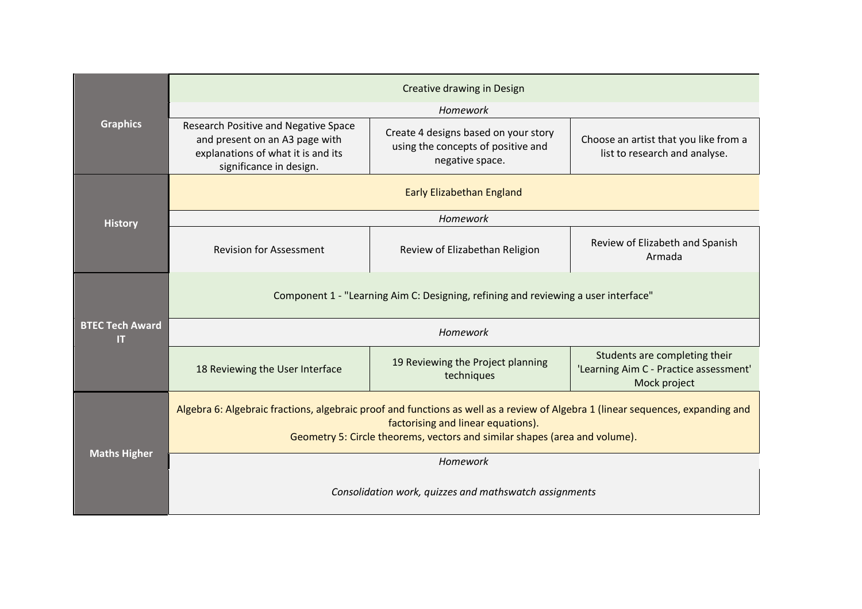| <b>Graphics</b>              | Creative drawing in Design                                                                                                                                                                                                                          |                                                                                               |                                                                                         |  |  |  |  |
|------------------------------|-----------------------------------------------------------------------------------------------------------------------------------------------------------------------------------------------------------------------------------------------------|-----------------------------------------------------------------------------------------------|-----------------------------------------------------------------------------------------|--|--|--|--|
|                              | Homework                                                                                                                                                                                                                                            |                                                                                               |                                                                                         |  |  |  |  |
|                              | Research Positive and Negative Space<br>and present on an A3 page with<br>explanations of what it is and its<br>significance in design.                                                                                                             | Create 4 designs based on your story<br>using the concepts of positive and<br>negative space. | Choose an artist that you like from a<br>list to research and analyse.                  |  |  |  |  |
|                              | <b>Early Elizabethan England</b>                                                                                                                                                                                                                    |                                                                                               |                                                                                         |  |  |  |  |
| <b>History</b>               |                                                                                                                                                                                                                                                     | Homework                                                                                      |                                                                                         |  |  |  |  |
|                              | <b>Revision for Assessment</b>                                                                                                                                                                                                                      | Review of Elizabethan Religion                                                                | Review of Elizabeth and Spanish<br>Armada                                               |  |  |  |  |
|                              | Component 1 - "Learning Aim C: Designing, refining and reviewing a user interface"                                                                                                                                                                  |                                                                                               |                                                                                         |  |  |  |  |
| <b>BTEC Tech Award</b><br>IT | Homework                                                                                                                                                                                                                                            |                                                                                               |                                                                                         |  |  |  |  |
|                              | 18 Reviewing the User Interface                                                                                                                                                                                                                     | 19 Reviewing the Project planning<br>techniques                                               | Students are completing their<br>'Learning Aim C - Practice assessment'<br>Mock project |  |  |  |  |
| <b>Maths Higher</b>          | Algebra 6: Algebraic fractions, algebraic proof and functions as well as a review of Algebra 1 (linear sequences, expanding and<br>factorising and linear equations).<br>Geometry 5: Circle theorems, vectors and similar shapes (area and volume). |                                                                                               |                                                                                         |  |  |  |  |
|                              | Homework                                                                                                                                                                                                                                            |                                                                                               |                                                                                         |  |  |  |  |
|                              | Consolidation work, quizzes and mathswatch assignments                                                                                                                                                                                              |                                                                                               |                                                                                         |  |  |  |  |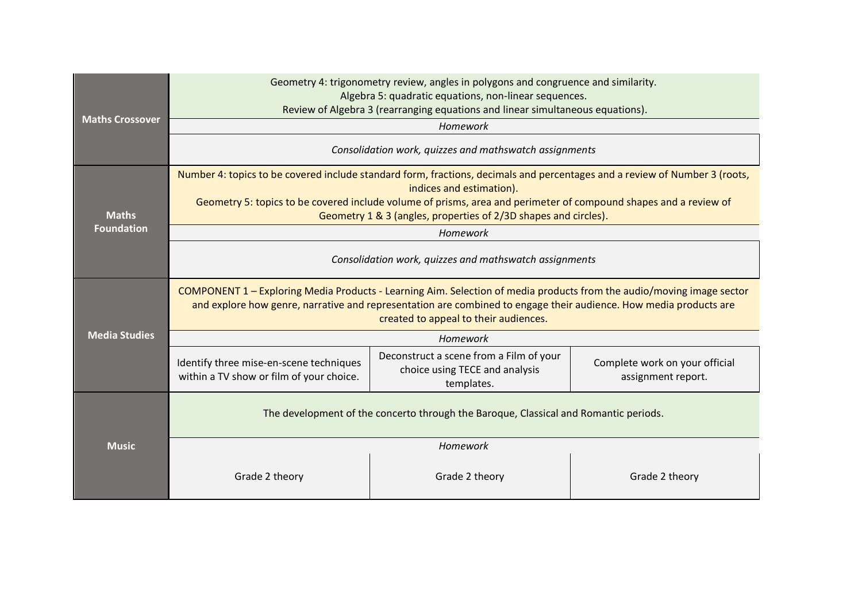|                        | Geometry 4: trigonometry review, angles in polygons and congruence and similarity.<br>Algebra 5: quadratic equations, non-linear sequences.<br>Review of Algebra 3 (rearranging equations and linear simultaneous equations).                                                                                                                 |                                                                                         |                                                      |  |  |  |
|------------------------|-----------------------------------------------------------------------------------------------------------------------------------------------------------------------------------------------------------------------------------------------------------------------------------------------------------------------------------------------|-----------------------------------------------------------------------------------------|------------------------------------------------------|--|--|--|
| <b>Maths Crossover</b> |                                                                                                                                                                                                                                                                                                                                               | Homework                                                                                |                                                      |  |  |  |
|                        | Consolidation work, quizzes and mathswatch assignments                                                                                                                                                                                                                                                                                        |                                                                                         |                                                      |  |  |  |
| <b>Maths</b>           | Number 4: topics to be covered include standard form, fractions, decimals and percentages and a review of Number 3 (roots,<br>indices and estimation).<br>Geometry 5: topics to be covered include volume of prisms, area and perimeter of compound shapes and a review of<br>Geometry 1 & 3 (angles, properties of 2/3D shapes and circles). |                                                                                         |                                                      |  |  |  |
| <b>Foundation</b>      |                                                                                                                                                                                                                                                                                                                                               | Homework                                                                                |                                                      |  |  |  |
|                        | Consolidation work, quizzes and mathswatch assignments                                                                                                                                                                                                                                                                                        |                                                                                         |                                                      |  |  |  |
|                        | COMPONENT 1 – Exploring Media Products - Learning Aim. Selection of media products from the audio/moving image sector<br>and explore how genre, narrative and representation are combined to engage their audience. How media products are<br>created to appeal to their audiences.                                                           |                                                                                         |                                                      |  |  |  |
| <b>Media Studies</b>   | Homework                                                                                                                                                                                                                                                                                                                                      |                                                                                         |                                                      |  |  |  |
|                        | Identify three mise-en-scene techniques<br>within a TV show or film of your choice.                                                                                                                                                                                                                                                           | Deconstruct a scene from a Film of your<br>choice using TECE and analysis<br>templates. | Complete work on your official<br>assignment report. |  |  |  |
| <b>Music</b>           | The development of the concerto through the Baroque, Classical and Romantic periods.                                                                                                                                                                                                                                                          |                                                                                         |                                                      |  |  |  |
|                        | Homework                                                                                                                                                                                                                                                                                                                                      |                                                                                         |                                                      |  |  |  |
|                        | Grade 2 theory                                                                                                                                                                                                                                                                                                                                | Grade 2 theory                                                                          | Grade 2 theory                                       |  |  |  |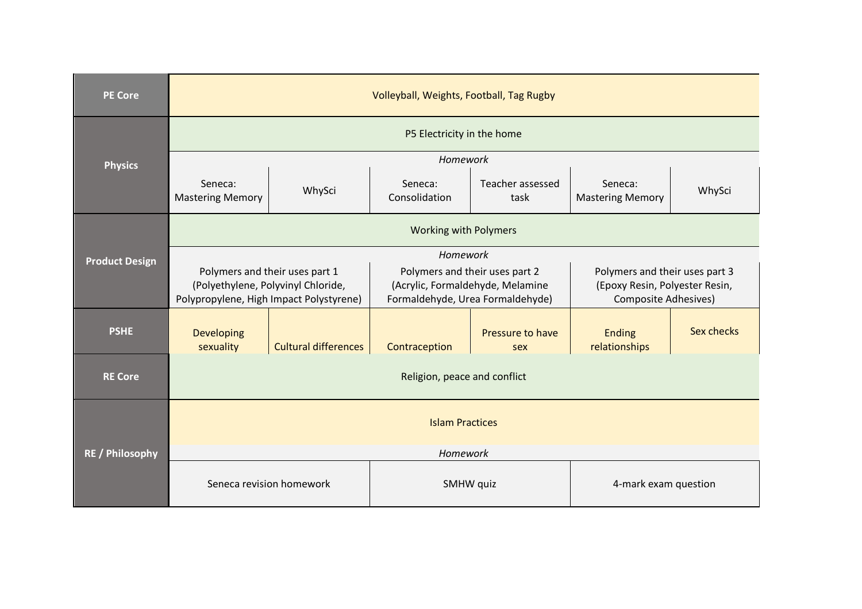| <b>PE Core</b>         | Volleyball, Weights, Football, Tag Rugby                                      |                             |                                                                      |                          |                                                               |            |  |
|------------------------|-------------------------------------------------------------------------------|-----------------------------|----------------------------------------------------------------------|--------------------------|---------------------------------------------------------------|------------|--|
|                        | P5 Electricity in the home                                                    |                             |                                                                      |                          |                                                               |            |  |
| <b>Physics</b>         |                                                                               |                             | Homework                                                             |                          |                                                               |            |  |
|                        | Seneca:<br><b>Mastering Memory</b>                                            | WhySci                      | Seneca:<br>Consolidation                                             | Teacher assessed<br>task | Seneca:<br><b>Mastering Memory</b>                            | WhySci     |  |
|                        | <b>Working with Polymers</b>                                                  |                             |                                                                      |                          |                                                               |            |  |
| <b>Product Design</b>  | Homework                                                                      |                             |                                                                      |                          |                                                               |            |  |
|                        | Polymers and their uses part 1                                                |                             | Polymers and their uses part 2                                       |                          | Polymers and their uses part 3                                |            |  |
|                        | (Polyethylene, Polyvinyl Chloride,<br>Polypropylene, High Impact Polystyrene) |                             | (Acrylic, Formaldehyde, Melamine<br>Formaldehyde, Urea Formaldehyde) |                          | (Epoxy Resin, Polyester Resin,<br><b>Composite Adhesives)</b> |            |  |
| <b>PSHE</b>            | Developing<br>sexuality                                                       | <b>Cultural differences</b> | Contraception                                                        | Pressure to have<br>sex  | <b>Ending</b><br>relationships                                | Sex checks |  |
| <b>RE Core</b>         | Religion, peace and conflict                                                  |                             |                                                                      |                          |                                                               |            |  |
| <b>RE</b> / Philosophy | <b>Islam Practices</b>                                                        |                             |                                                                      |                          |                                                               |            |  |
|                        | Homework                                                                      |                             |                                                                      |                          |                                                               |            |  |
|                        | Seneca revision homework<br>SMHW quiz                                         |                             |                                                                      | 4-mark exam question     |                                                               |            |  |